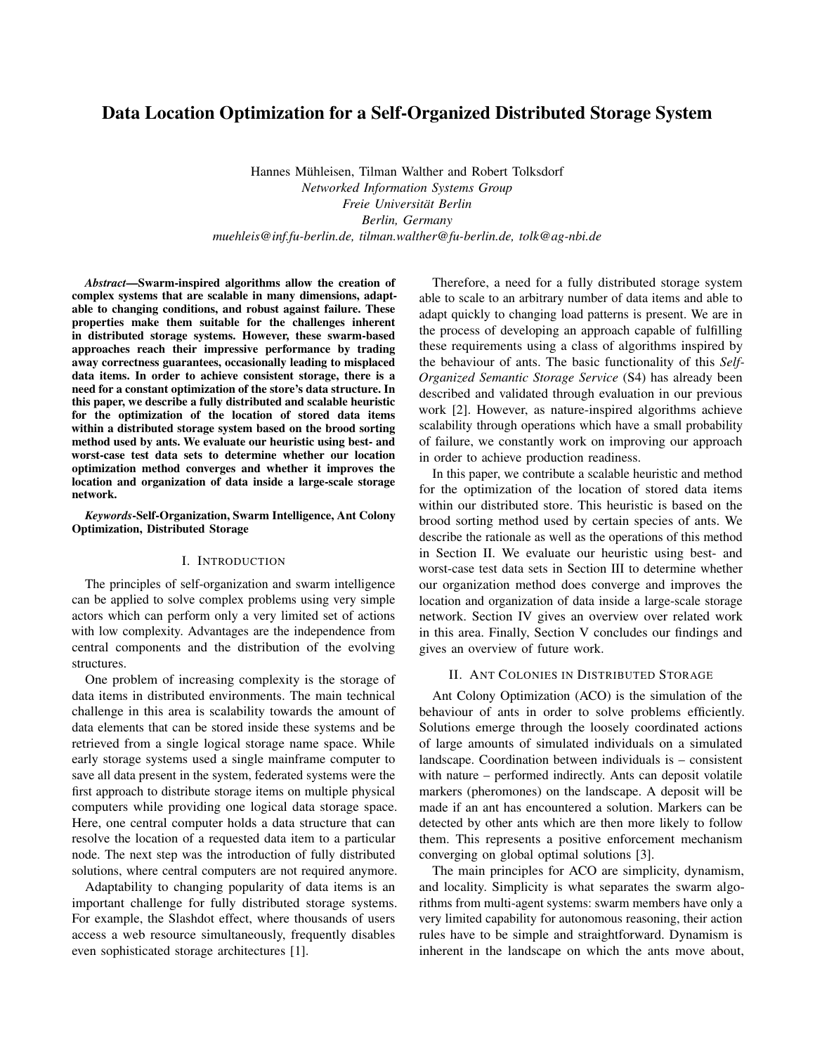# Data Location Optimization for a Self-Organized Distributed Storage System

Hannes Mühleisen, Tilman Walther and Robert Tolksdorf *Networked Information Systems Group Freie Universitat Berlin ¨ Berlin, Germany muehleis@inf.fu-berlin.de, tilman.walther@fu-berlin.de, tolk@ag-nbi.de*

*Abstract*—Swarm-inspired algorithms allow the creation of complex systems that are scalable in many dimensions, adaptable to changing conditions, and robust against failure. These properties make them suitable for the challenges inherent in distributed storage systems. However, these swarm-based approaches reach their impressive performance by trading away correctness guarantees, occasionally leading to misplaced data items. In order to achieve consistent storage, there is a need for a constant optimization of the store's data structure. In this paper, we describe a fully distributed and scalable heuristic for the optimization of the location of stored data items within a distributed storage system based on the brood sorting method used by ants. We evaluate our heuristic using best- and worst-case test data sets to determine whether our location optimization method converges and whether it improves the location and organization of data inside a large-scale storage network.

*Keywords*-Self-Organization, Swarm Intelligence, Ant Colony Optimization, Distributed Storage

#### I. INTRODUCTION

The principles of self-organization and swarm intelligence can be applied to solve complex problems using very simple actors which can perform only a very limited set of actions with low complexity. Advantages are the independence from central components and the distribution of the evolving structures.

One problem of increasing complexity is the storage of data items in distributed environments. The main technical challenge in this area is scalability towards the amount of data elements that can be stored inside these systems and be retrieved from a single logical storage name space. While early storage systems used a single mainframe computer to save all data present in the system, federated systems were the first approach to distribute storage items on multiple physical computers while providing one logical data storage space. Here, one central computer holds a data structure that can resolve the location of a requested data item to a particular node. The next step was the introduction of fully distributed solutions, where central computers are not required anymore.

Adaptability to changing popularity of data items is an important challenge for fully distributed storage systems. For example, the Slashdot effect, where thousands of users access a web resource simultaneously, frequently disables even sophisticated storage architectures [1].

Therefore, a need for a fully distributed storage system able to scale to an arbitrary number of data items and able to adapt quickly to changing load patterns is present. We are in the process of developing an approach capable of fulfilling these requirements using a class of algorithms inspired by the behaviour of ants. The basic functionality of this *Self-Organized Semantic Storage Service* (S4) has already been described and validated through evaluation in our previous work [2]. However, as nature-inspired algorithms achieve scalability through operations which have a small probability of failure, we constantly work on improving our approach in order to achieve production readiness.

In this paper, we contribute a scalable heuristic and method for the optimization of the location of stored data items within our distributed store. This heuristic is based on the brood sorting method used by certain species of ants. We describe the rationale as well as the operations of this method in Section II. We evaluate our heuristic using best- and worst-case test data sets in Section III to determine whether our organization method does converge and improves the location and organization of data inside a large-scale storage network. Section IV gives an overview over related work in this area. Finally, Section V concludes our findings and gives an overview of future work.

#### II. ANT COLONIES IN DISTRIBUTED STORAGE

Ant Colony Optimization (ACO) is the simulation of the behaviour of ants in order to solve problems efficiently. Solutions emerge through the loosely coordinated actions of large amounts of simulated individuals on a simulated landscape. Coordination between individuals is – consistent with nature – performed indirectly. Ants can deposit volatile markers (pheromones) on the landscape. A deposit will be made if an ant has encountered a solution. Markers can be detected by other ants which are then more likely to follow them. This represents a positive enforcement mechanism converging on global optimal solutions [3].

The main principles for ACO are simplicity, dynamism, and locality. Simplicity is what separates the swarm algorithms from multi-agent systems: swarm members have only a very limited capability for autonomous reasoning, their action rules have to be simple and straightforward. Dynamism is inherent in the landscape on which the ants move about,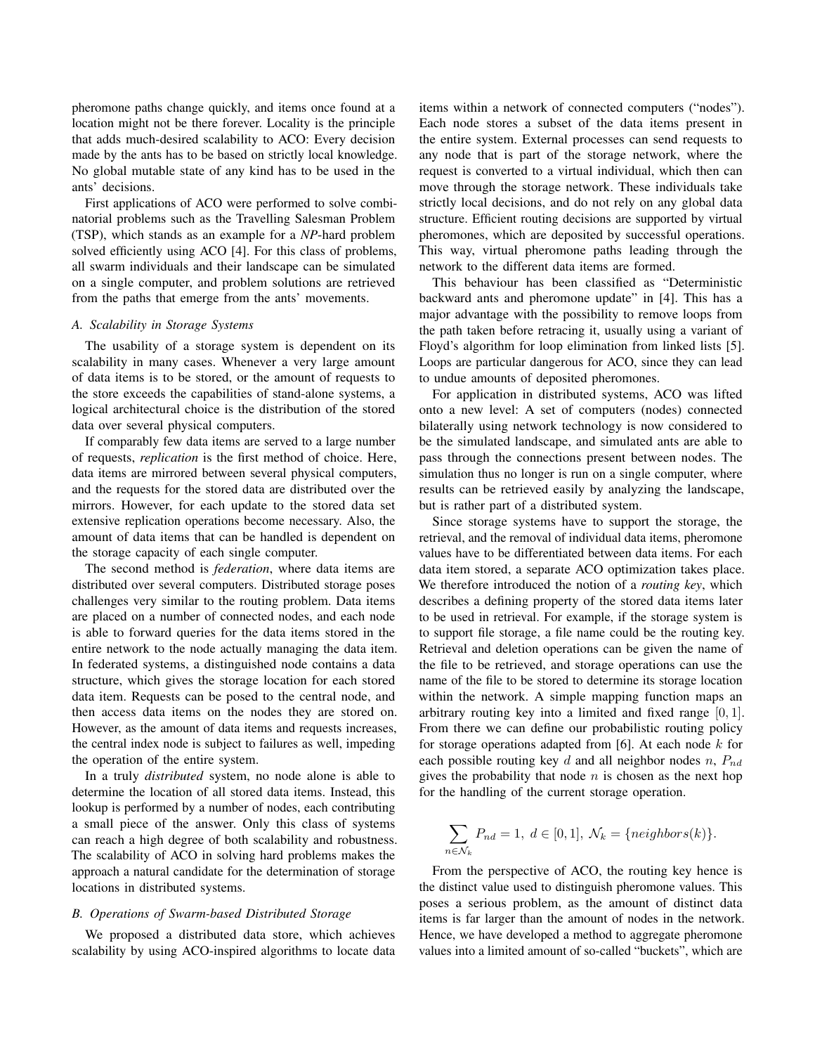pheromone paths change quickly, and items once found at a location might not be there forever. Locality is the principle that adds much-desired scalability to ACO: Every decision made by the ants has to be based on strictly local knowledge. No global mutable state of any kind has to be used in the ants' decisions.

First applications of ACO were performed to solve combinatorial problems such as the Travelling Salesman Problem (TSP), which stands as an example for a *NP*-hard problem solved efficiently using ACO [4]. For this class of problems, all swarm individuals and their landscape can be simulated on a single computer, and problem solutions are retrieved from the paths that emerge from the ants' movements.

#### *A. Scalability in Storage Systems*

The usability of a storage system is dependent on its scalability in many cases. Whenever a very large amount of data items is to be stored, or the amount of requests to the store exceeds the capabilities of stand-alone systems, a logical architectural choice is the distribution of the stored data over several physical computers.

If comparably few data items are served to a large number of requests, *replication* is the first method of choice. Here, data items are mirrored between several physical computers, and the requests for the stored data are distributed over the mirrors. However, for each update to the stored data set extensive replication operations become necessary. Also, the amount of data items that can be handled is dependent on the storage capacity of each single computer.

The second method is *federation*, where data items are distributed over several computers. Distributed storage poses challenges very similar to the routing problem. Data items are placed on a number of connected nodes, and each node is able to forward queries for the data items stored in the entire network to the node actually managing the data item. In federated systems, a distinguished node contains a data structure, which gives the storage location for each stored data item. Requests can be posed to the central node, and then access data items on the nodes they are stored on. However, as the amount of data items and requests increases, the central index node is subject to failures as well, impeding the operation of the entire system.

In a truly *distributed* system, no node alone is able to determine the location of all stored data items. Instead, this lookup is performed by a number of nodes, each contributing a small piece of the answer. Only this class of systems can reach a high degree of both scalability and robustness. The scalability of ACO in solving hard problems makes the approach a natural candidate for the determination of storage locations in distributed systems.

#### *B. Operations of Swarm-based Distributed Storage*

We proposed a distributed data store, which achieves scalability by using ACO-inspired algorithms to locate data items within a network of connected computers ("nodes"). Each node stores a subset of the data items present in the entire system. External processes can send requests to any node that is part of the storage network, where the request is converted to a virtual individual, which then can move through the storage network. These individuals take strictly local decisions, and do not rely on any global data structure. Efficient routing decisions are supported by virtual pheromones, which are deposited by successful operations. This way, virtual pheromone paths leading through the network to the different data items are formed.

This behaviour has been classified as "Deterministic backward ants and pheromone update" in [4]. This has a major advantage with the possibility to remove loops from the path taken before retracing it, usually using a variant of Floyd's algorithm for loop elimination from linked lists [5]. Loops are particular dangerous for ACO, since they can lead to undue amounts of deposited pheromones.

For application in distributed systems, ACO was lifted onto a new level: A set of computers (nodes) connected bilaterally using network technology is now considered to be the simulated landscape, and simulated ants are able to pass through the connections present between nodes. The simulation thus no longer is run on a single computer, where results can be retrieved easily by analyzing the landscape, but is rather part of a distributed system.

Since storage systems have to support the storage, the retrieval, and the removal of individual data items, pheromone values have to be differentiated between data items. For each data item stored, a separate ACO optimization takes place. We therefore introduced the notion of a *routing key*, which describes a defining property of the stored data items later to be used in retrieval. For example, if the storage system is to support file storage, a file name could be the routing key. Retrieval and deletion operations can be given the name of the file to be retrieved, and storage operations can use the name of the file to be stored to determine its storage location within the network. A simple mapping function maps an arbitrary routing key into a limited and fixed range [0, 1]. From there we can define our probabilistic routing policy for storage operations adapted from [6]. At each node  $k$  for each possible routing key d and all neighbor nodes  $n$ ,  $P_{nd}$ gives the probability that node  $n$  is chosen as the next hop for the handling of the current storage operation.

$$
\sum_{n \in \mathcal{N}_k} P_{nd} = 1, \ d \in [0, 1], \ \mathcal{N}_k = \{neighbours(k)\}.
$$

From the perspective of ACO, the routing key hence is the distinct value used to distinguish pheromone values. This poses a serious problem, as the amount of distinct data items is far larger than the amount of nodes in the network. Hence, we have developed a method to aggregate pheromone values into a limited amount of so-called "buckets", which are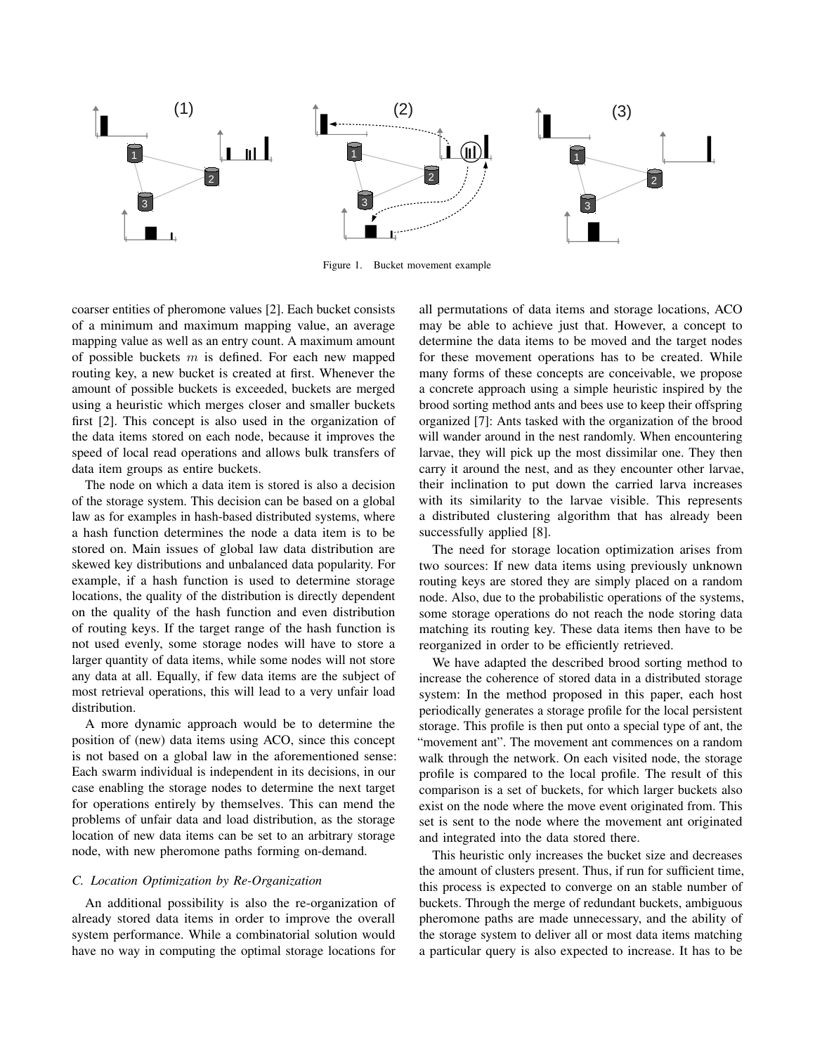

Figure 1. Bucket movement example

coarser entities of pheromone values [2]. Each bucket consists of a minimum and maximum mapping value, an average mapping value as well as an entry count. A maximum amount of possible buckets  $m$  is defined. For each new mapped routing key, a new bucket is created at first. Whenever the amount of possible buckets is exceeded, buckets are merged using a heuristic which merges closer and smaller buckets first [2]. This concept is also used in the organization of the data items stored on each node, because it improves the speed of local read operations and allows bulk transfers of data item groups as entire buckets.

The node on which a data item is stored is also a decision of the storage system. This decision can be based on a global law as for examples in hash-based distributed systems, where a hash function determines the node a data item is to be stored on. Main issues of global law data distribution are skewed key distributions and unbalanced data popularity. For example, if a hash function is used to determine storage locations, the quality of the distribution is directly dependent on the quality of the hash function and even distribution of routing keys. If the target range of the hash function is not used evenly, some storage nodes will have to store a larger quantity of data items, while some nodes will not store any data at all. Equally, if few data items are the subject of most retrieval operations, this will lead to a very unfair load distribution.

A more dynamic approach would be to determine the position of (new) data items using ACO, since this concept is not based on a global law in the aforementioned sense: Each swarm individual is independent in its decisions, in our case enabling the storage nodes to determine the next target for operations entirely by themselves. This can mend the problems of unfair data and load distribution, as the storage location of new data items can be set to an arbitrary storage node, with new pheromone paths forming on-demand.

#### *C. Location Optimization by Re-Organization*

An additional possibility is also the re-organization of already stored data items in order to improve the overall system performance. While a combinatorial solution would have no way in computing the optimal storage locations for all permutations of data items and storage locations, ACO may be able to achieve just that. However, a concept to determine the data items to be moved and the target nodes for these movement operations has to be created. While many forms of these concepts are conceivable, we propose a concrete approach using a simple heuristic inspired by the brood sorting method ants and bees use to keep their offspring organized [7]: Ants tasked with the organization of the brood will wander around in the nest randomly. When encountering larvae, they will pick up the most dissimilar one. They then carry it around the nest, and as they encounter other larvae, their inclination to put down the carried larva increases with its similarity to the larvae visible. This represents a distributed clustering algorithm that has already been successfully applied [8].

The need for storage location optimization arises from two sources: If new data items using previously unknown routing keys are stored they are simply placed on a random node. Also, due to the probabilistic operations of the systems, some storage operations do not reach the node storing data matching its routing key. These data items then have to be reorganized in order to be efficiently retrieved.

We have adapted the described brood sorting method to increase the coherence of stored data in a distributed storage system: In the method proposed in this paper, each host periodically generates a storage profile for the local persistent storage. This profile is then put onto a special type of ant, the "movement ant". The movement ant commences on a random walk through the network. On each visited node, the storage profile is compared to the local profile. The result of this comparison is a set of buckets, for which larger buckets also exist on the node where the move event originated from. This set is sent to the node where the movement ant originated and integrated into the data stored there.

This heuristic only increases the bucket size and decreases the amount of clusters present. Thus, if run for sufficient time, this process is expected to converge on an stable number of buckets. Through the merge of redundant buckets, ambiguous pheromone paths are made unnecessary, and the ability of the storage system to deliver all or most data items matching a particular query is also expected to increase. It has to be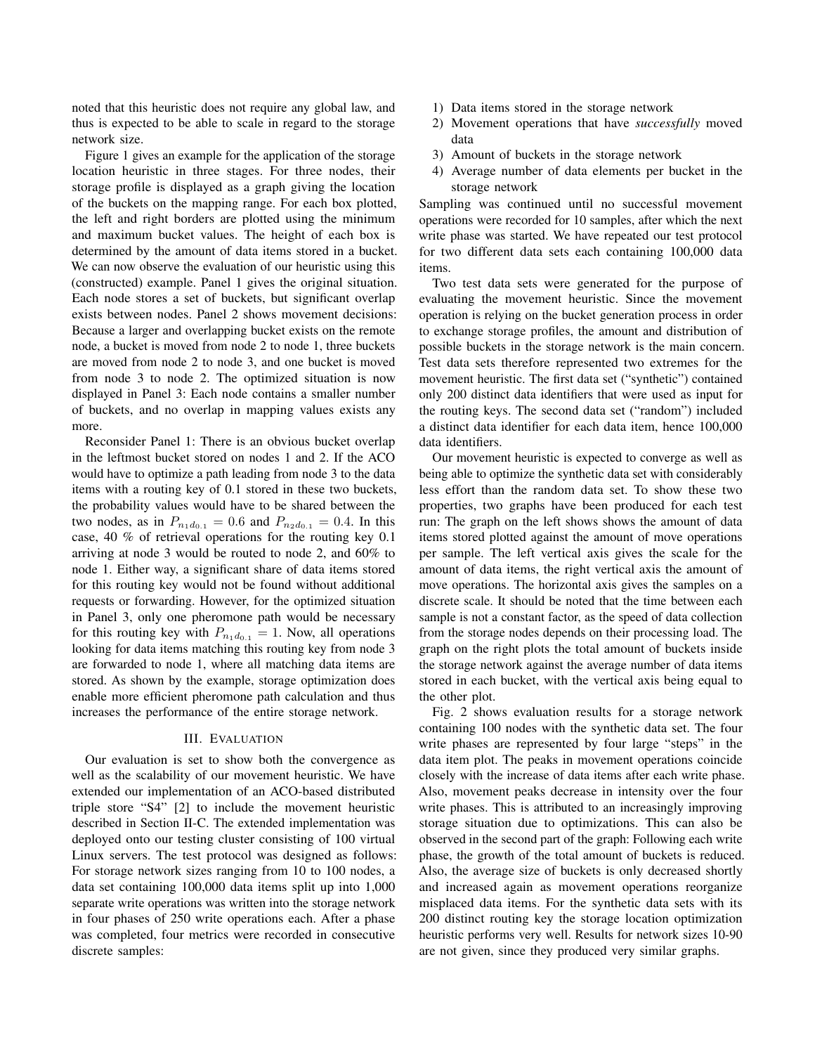noted that this heuristic does not require any global law, and thus is expected to be able to scale in regard to the storage network size.

Figure 1 gives an example for the application of the storage location heuristic in three stages. For three nodes, their storage profile is displayed as a graph giving the location of the buckets on the mapping range. For each box plotted, the left and right borders are plotted using the minimum and maximum bucket values. The height of each box is determined by the amount of data items stored in a bucket. We can now observe the evaluation of our heuristic using this (constructed) example. Panel 1 gives the original situation. Each node stores a set of buckets, but significant overlap exists between nodes. Panel 2 shows movement decisions: Because a larger and overlapping bucket exists on the remote node, a bucket is moved from node 2 to node 1, three buckets are moved from node 2 to node 3, and one bucket is moved from node 3 to node 2. The optimized situation is now displayed in Panel 3: Each node contains a smaller number of buckets, and no overlap in mapping values exists any more.

Reconsider Panel 1: There is an obvious bucket overlap in the leftmost bucket stored on nodes 1 and 2. If the ACO would have to optimize a path leading from node 3 to the data items with a routing key of 0.1 stored in these two buckets, the probability values would have to be shared between the two nodes, as in  $P_{n_1d_{0,1}} = 0.6$  and  $P_{n_2d_{0,1}} = 0.4$ . In this case, 40 % of retrieval operations for the routing key 0.1 arriving at node 3 would be routed to node 2, and 60% to node 1. Either way, a significant share of data items stored for this routing key would not be found without additional requests or forwarding. However, for the optimized situation in Panel 3, only one pheromone path would be necessary for this routing key with  $P_{n_1d_{0,1}} = 1$ . Now, all operations looking for data items matching this routing key from node 3 are forwarded to node 1, where all matching data items are stored. As shown by the example, storage optimization does enable more efficient pheromone path calculation and thus increases the performance of the entire storage network.

## III. EVALUATION

Our evaluation is set to show both the convergence as well as the scalability of our movement heuristic. We have extended our implementation of an ACO-based distributed triple store "S4" [2] to include the movement heuristic described in Section II-C. The extended implementation was deployed onto our testing cluster consisting of 100 virtual Linux servers. The test protocol was designed as follows: For storage network sizes ranging from 10 to 100 nodes, a data set containing 100,000 data items split up into 1,000 separate write operations was written into the storage network in four phases of 250 write operations each. After a phase was completed, four metrics were recorded in consecutive discrete samples:

- 1) Data items stored in the storage network
- 2) Movement operations that have *successfully* moved data
- 3) Amount of buckets in the storage network
- 4) Average number of data elements per bucket in the storage network

Sampling was continued until no successful movement operations were recorded for 10 samples, after which the next write phase was started. We have repeated our test protocol for two different data sets each containing 100,000 data items.

Two test data sets were generated for the purpose of evaluating the movement heuristic. Since the movement operation is relying on the bucket generation process in order to exchange storage profiles, the amount and distribution of possible buckets in the storage network is the main concern. Test data sets therefore represented two extremes for the movement heuristic. The first data set ("synthetic") contained only 200 distinct data identifiers that were used as input for the routing keys. The second data set ("random") included a distinct data identifier for each data item, hence 100,000 data identifiers.

Our movement heuristic is expected to converge as well as being able to optimize the synthetic data set with considerably less effort than the random data set. To show these two properties, two graphs have been produced for each test run: The graph on the left shows shows the amount of data items stored plotted against the amount of move operations per sample. The left vertical axis gives the scale for the amount of data items, the right vertical axis the amount of move operations. The horizontal axis gives the samples on a discrete scale. It should be noted that the time between each sample is not a constant factor, as the speed of data collection from the storage nodes depends on their processing load. The graph on the right plots the total amount of buckets inside the storage network against the average number of data items stored in each bucket, with the vertical axis being equal to the other plot.

Fig. 2 shows evaluation results for a storage network containing 100 nodes with the synthetic data set. The four write phases are represented by four large "steps" in the data item plot. The peaks in movement operations coincide closely with the increase of data items after each write phase. Also, movement peaks decrease in intensity over the four write phases. This is attributed to an increasingly improving storage situation due to optimizations. This can also be observed in the second part of the graph: Following each write phase, the growth of the total amount of buckets is reduced. Also, the average size of buckets is only decreased shortly and increased again as movement operations reorganize misplaced data items. For the synthetic data sets with its 200 distinct routing key the storage location optimization heuristic performs very well. Results for network sizes 10-90 are not given, since they produced very similar graphs.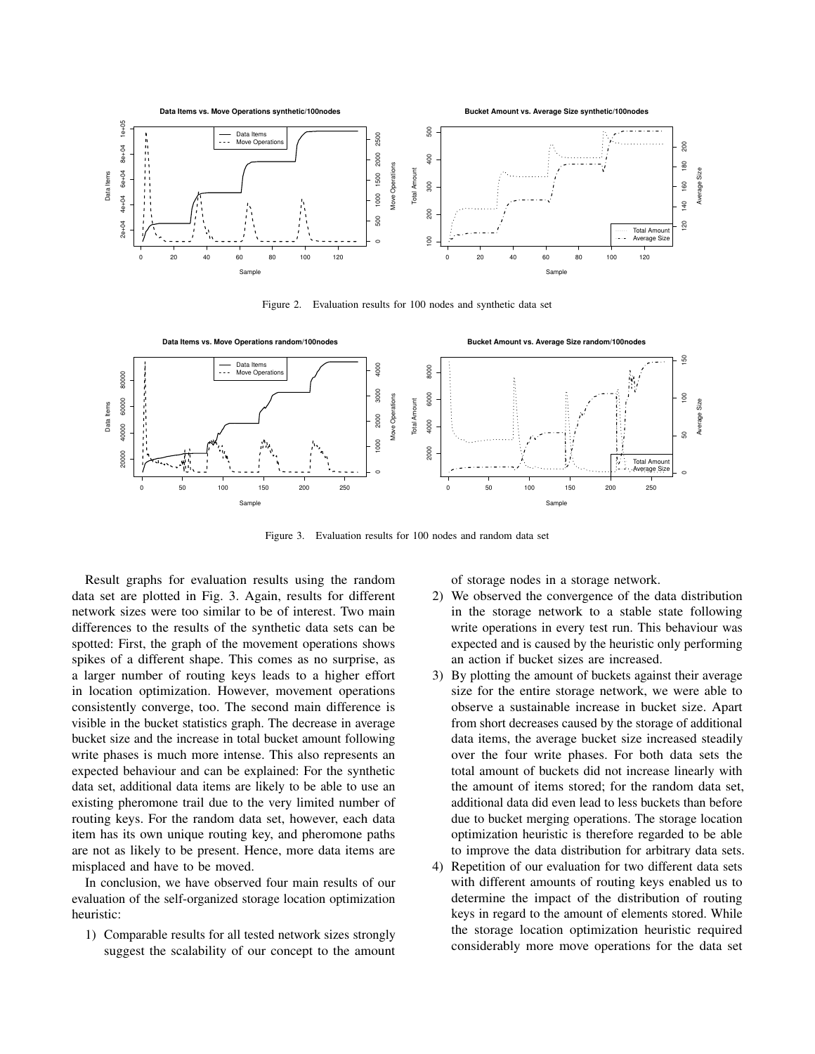

Figure 2. Evaluation results for 100 nodes and synthetic data set



Figure 3. Evaluation results for 100 nodes and random data set

Result graphs for evaluation results using the random data set are plotted in Fig. 3. Again, results for different network sizes were too similar to be of interest. Two main differences to the results of the synthetic data sets can be spotted: First, the graph of the movement operations shows spikes of a different shape. This comes as no surprise, as a larger number of routing keys leads to a higher effort in location optimization. However, movement operations consistently converge, too. The second main difference is visible in the bucket statistics graph. The decrease in average bucket size and the increase in total bucket amount following write phases is much more intense. This also represents an expected behaviour and can be explained: For the synthetic data set, additional data items are likely to be able to use an existing pheromone trail due to the very limited number of routing keys. For the random data set, however, each data item has its own unique routing key, and pheromone paths are not as likely to be present. Hence, more data items are misplaced and have to be moved.

In conclusion, we have observed four main results of our evaluation of the self-organized storage location optimization heuristic:

1) Comparable results for all tested network sizes strongly suggest the scalability of our concept to the amount of storage nodes in a storage network.

- 2) We observed the convergence of the data distribution in the storage network to a stable state following write operations in every test run. This behaviour was expected and is caused by the heuristic only performing an action if bucket sizes are increased.
- 3) By plotting the amount of buckets against their average size for the entire storage network, we were able to observe a sustainable increase in bucket size. Apart from short decreases caused by the storage of additional data items, the average bucket size increased steadily over the four write phases. For both data sets the total amount of buckets did not increase linearly with the amount of items stored; for the random data set, additional data did even lead to less buckets than before due to bucket merging operations. The storage location optimization heuristic is therefore regarded to be able to improve the data distribution for arbitrary data sets.
- 4) Repetition of our evaluation for two different data sets with different amounts of routing keys enabled us to determine the impact of the distribution of routing keys in regard to the amount of elements stored. While the storage location optimization heuristic required considerably more move operations for the data set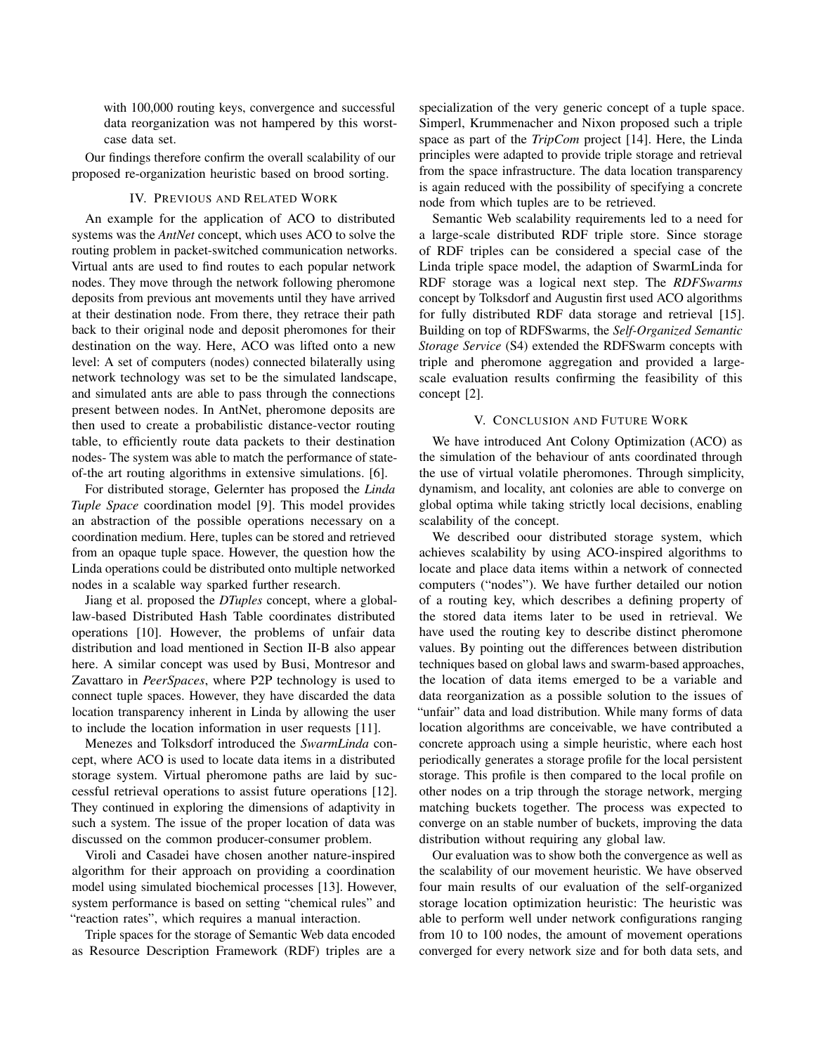with 100,000 routing keys, convergence and successful data reorganization was not hampered by this worstcase data set.

Our findings therefore confirm the overall scalability of our proposed re-organization heuristic based on brood sorting.

## IV. PREVIOUS AND RELATED WORK

An example for the application of ACO to distributed systems was the *AntNet* concept, which uses ACO to solve the routing problem in packet-switched communication networks. Virtual ants are used to find routes to each popular network nodes. They move through the network following pheromone deposits from previous ant movements until they have arrived at their destination node. From there, they retrace their path back to their original node and deposit pheromones for their destination on the way. Here, ACO was lifted onto a new level: A set of computers (nodes) connected bilaterally using network technology was set to be the simulated landscape, and simulated ants are able to pass through the connections present between nodes. In AntNet, pheromone deposits are then used to create a probabilistic distance-vector routing table, to efficiently route data packets to their destination nodes- The system was able to match the performance of stateof-the art routing algorithms in extensive simulations. [6].

For distributed storage, Gelernter has proposed the *Linda Tuple Space* coordination model [9]. This model provides an abstraction of the possible operations necessary on a coordination medium. Here, tuples can be stored and retrieved from an opaque tuple space. However, the question how the Linda operations could be distributed onto multiple networked nodes in a scalable way sparked further research.

Jiang et al. proposed the *DTuples* concept, where a globallaw-based Distributed Hash Table coordinates distributed operations [10]. However, the problems of unfair data distribution and load mentioned in Section II-B also appear here. A similar concept was used by Busi, Montresor and Zavattaro in *PeerSpaces*, where P2P technology is used to connect tuple spaces. However, they have discarded the data location transparency inherent in Linda by allowing the user to include the location information in user requests [11].

Menezes and Tolksdorf introduced the *SwarmLinda* concept, where ACO is used to locate data items in a distributed storage system. Virtual pheromone paths are laid by successful retrieval operations to assist future operations [12]. They continued in exploring the dimensions of adaptivity in such a system. The issue of the proper location of data was discussed on the common producer-consumer problem.

Viroli and Casadei have chosen another nature-inspired algorithm for their approach on providing a coordination model using simulated biochemical processes [13]. However, system performance is based on setting "chemical rules" and "reaction rates", which requires a manual interaction.

Triple spaces for the storage of Semantic Web data encoded as Resource Description Framework (RDF) triples are a specialization of the very generic concept of a tuple space. Simperl, Krummenacher and Nixon proposed such a triple space as part of the *TripCom* project [14]. Here, the Linda principles were adapted to provide triple storage and retrieval from the space infrastructure. The data location transparency is again reduced with the possibility of specifying a concrete node from which tuples are to be retrieved.

Semantic Web scalability requirements led to a need for a large-scale distributed RDF triple store. Since storage of RDF triples can be considered a special case of the Linda triple space model, the adaption of SwarmLinda for RDF storage was a logical next step. The *RDFSwarms* concept by Tolksdorf and Augustin first used ACO algorithms for fully distributed RDF data storage and retrieval [15]. Building on top of RDFSwarms, the *Self-Organized Semantic Storage Service* (S4) extended the RDFSwarm concepts with triple and pheromone aggregation and provided a largescale evaluation results confirming the feasibility of this concept [2].

#### V. CONCLUSION AND FUTURE WORK

We have introduced Ant Colony Optimization (ACO) as the simulation of the behaviour of ants coordinated through the use of virtual volatile pheromones. Through simplicity, dynamism, and locality, ant colonies are able to converge on global optima while taking strictly local decisions, enabling scalability of the concept.

We described oour distributed storage system, which achieves scalability by using ACO-inspired algorithms to locate and place data items within a network of connected computers ("nodes"). We have further detailed our notion of a routing key, which describes a defining property of the stored data items later to be used in retrieval. We have used the routing key to describe distinct pheromone values. By pointing out the differences between distribution techniques based on global laws and swarm-based approaches, the location of data items emerged to be a variable and data reorganization as a possible solution to the issues of "unfair" data and load distribution. While many forms of data location algorithms are conceivable, we have contributed a concrete approach using a simple heuristic, where each host periodically generates a storage profile for the local persistent storage. This profile is then compared to the local profile on other nodes on a trip through the storage network, merging matching buckets together. The process was expected to converge on an stable number of buckets, improving the data distribution without requiring any global law.

Our evaluation was to show both the convergence as well as the scalability of our movement heuristic. We have observed four main results of our evaluation of the self-organized storage location optimization heuristic: The heuristic was able to perform well under network configurations ranging from 10 to 100 nodes, the amount of movement operations converged for every network size and for both data sets, and